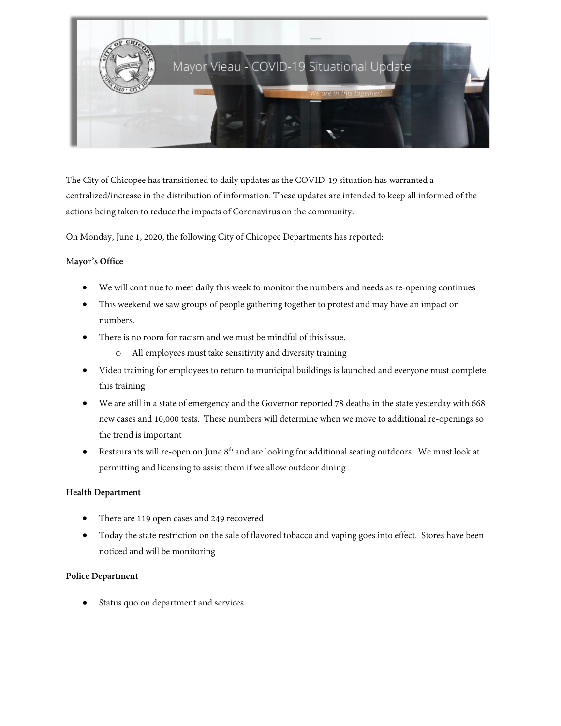

The City of Chicopee has transitioned to daily updates as the COVID-19 situation has warranted a centralized/increase in the distribution of information. These updates are intended to keep all informed of the actions being taken to reduce the impacts of Coronavirus on the community.

On Monday, June 1, 2020, the following City of Chicopee Departments has reported:

### M**ayor's Office**

- We will continue to meet daily this week to monitor the numbers and needs as re-opening continues
- This weekend we saw groups of people gathering together to protest and may have an impact on numbers.
- There is no room for racism and we must be mindful of this issue.
	- o All employees must take sensitivity and diversity training
- Video training for employees to return to municipal buildings is launched and everyone must complete this training
- We are still in a state of emergency and the Governor reported 78 deaths in the state yesterday with 668 new cases and 10,000 tests. These numbers will determine when we move to additional re-openings so the trend is important
- Restaurants will re-open on June  $8<sup>th</sup>$  and are looking for additional seating outdoors. We must look at permitting and licensing to assist them if we allow outdoor dining

# **Health Department**

- There are 119 open cases and 249 recovered
- Today the state restriction on the sale of flavored tobacco and vaping goes into effect. Stores have been noticed and will be monitoring

# **Police Department**

Status quo on department and services